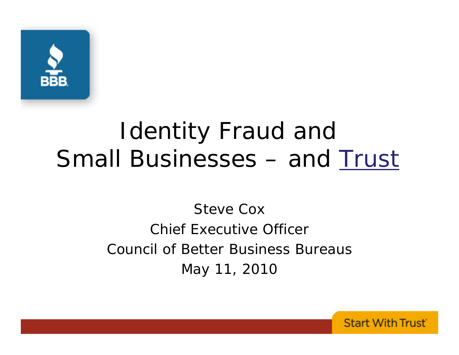

## Identity Fraud and Small Businesses – and Trust

### Steve CoxChief Executive OfficerCouncil of Better Business BureausMay 11, 2010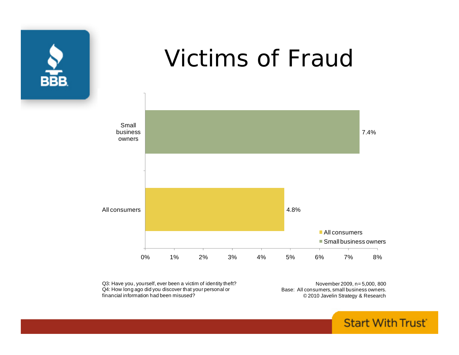

### Victims of Fraud



Q3: Have you, yourself, ever been a victim of identity theft? Q4: How long ago did you discover that your personal or financial information had been misused?

November 2009, n= 5,000, 800 Base: All consumers, small business owners. © 2010 Javelin Strategy & Research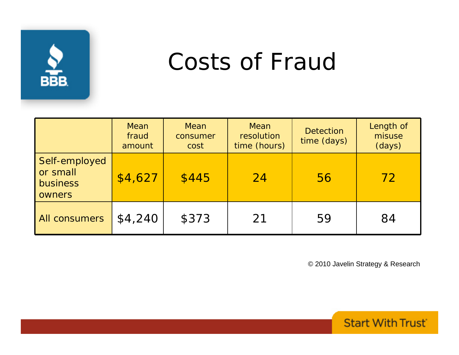

## Costs of Fraud

|                                                        | Mean<br>fraud<br>amount | Mean<br>consumer<br>cost | Mean<br>resolution<br>time (hours) | <b>Detection</b><br>time (days) | Length of<br>misuse<br>(days) |
|--------------------------------------------------------|-------------------------|--------------------------|------------------------------------|---------------------------------|-------------------------------|
| Self-employed<br>or small<br>business<br><b>owners</b> | \$4,627                 | \$445                    | $\overline{24}$                    | 56                              | 72                            |
| All consumers                                          | \$4,240                 | \$373                    | 21                                 | 59                              | 84                            |

© 2010 Javelin Strategy & Research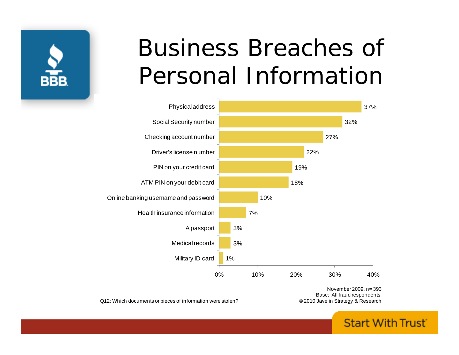

## Business Breaches of Personal Information



Q12: Which documents or pieces of information were stolen?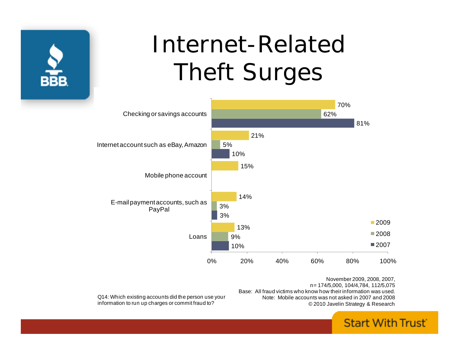

## Internet-Related Theft Surges



November 2009, 2008, 2007, n= 174/5,000, 104/4,784, 112/5,075 Base: All fraud victims who know how their information was used.Note: Mobile accounts was not asked in 2007 and 2008© 2010 Javelin Strategy & Research

Q14: Which existing accounts did the person use your information to run up charges or commit fraud to?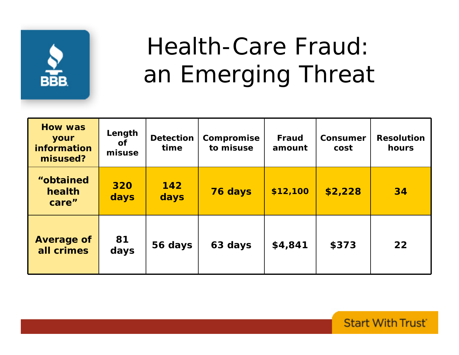

# Health-Care Fraud: an Emerging Threat

| <b>How was</b><br>your<br>information<br>misused? | Length<br><b>of</b><br>misuse | <b>Detection</b><br>time | Compromise<br>to misuse | <b>Fraud</b><br>amount | <b>Consumer</b><br>cost | <b>Resolution</b><br>hours |
|---------------------------------------------------|-------------------------------|--------------------------|-------------------------|------------------------|-------------------------|----------------------------|
| "obtained<br>health<br>care"                      | 320<br>days                   | 142<br>days              | 76 days                 | \$12,100               | \$2,228                 | 34                         |
| <b>Average of</b><br>all crimes                   | 81<br>days                    | 56 days                  | 63 days                 | \$4,841                | \$373                   | 22                         |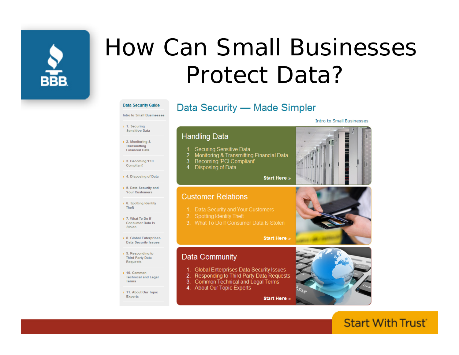

## How Can Small BusinessesProtect Data?

### Data Security Guide

### Intro to Small Businesses

### $\rightarrow$  1. Securing

- Sensitive Data  $\rightarrow$  2. Monitoring & Transmitting
- **Financial Data**
- > 3. Becoming 'PCI Compliant

> 4. Disposing of Data

> 5. Data Security and Your Customers

> 6. Spotting Identity Theft

- > 7. What To Do If **Consumer Data Is** Stolen
- > 8. Global Enterprises **Data Security Issues**
- $\rightarrow$  9. Responding to Third Party Data Requests
- $\geq 10.$  Common **Technical and Legal Terms**
- > 11. About Our Topic Experts

### Data Security - Made Simpler



**Start Here »** 

**Start Here »** 

**Start Here »** 

### **Customer Relations**

4. Disposing of Data

1. Securing Sensitive Data

3. Becoming 'PCI Compliant'

**Handling Data** 

- 1. Data Security and Your Customers
	- Spotting Identity Theft
- 3. What To Do If Consumer Data Is Stolen

2. Monitoring & Transmitting Financial Data

### **Data Community**

- 1. Global Enterprises Data Security Issues
- 2. Responding to Third Party Data Requests
- 3. Common Technical and Legal Terms
- 4. About Our Topic Experts



### **Start With Trust**

**Intro to Small Businesses**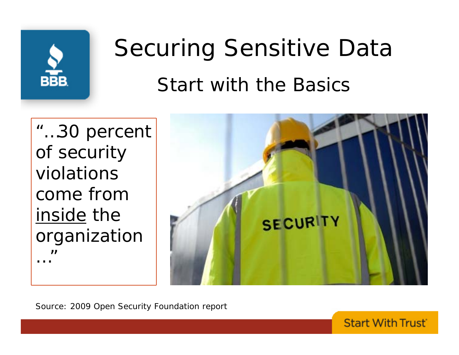

# Securing Sensitive Data Start with the Basics

"…30 percent of security violations come from inside the organization …"<br>……"



**Start With Trust** 

*Source: 2009 Open Security Foundation report*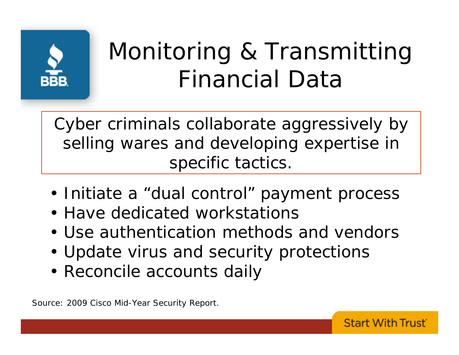

# Monitoring & Transmitting Financial Data

**Start With Trust** 

Cyber criminals collaborate aggressively by selling wares and developing expertise in specific tactics.

- Initiate a "dual control" payment process
- Have dedicated workstations
- Use authentication methods and vendors
- Update virus and security protections
- Reconcile accounts daily

*Source: 2009 Cisco Mid-Year Security Report.*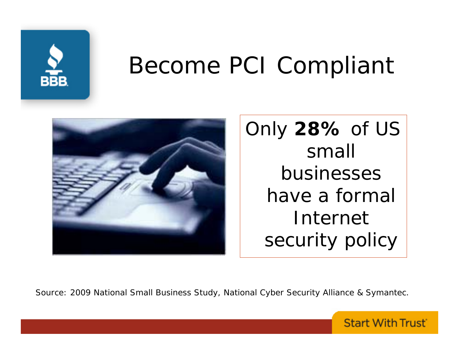

## Become PCI Compliant



Only **28%** of US small businesses have a formal Internet security policy

*Source: 2009 National Small Business Study, National Cyber Security Alliance & Symantec.*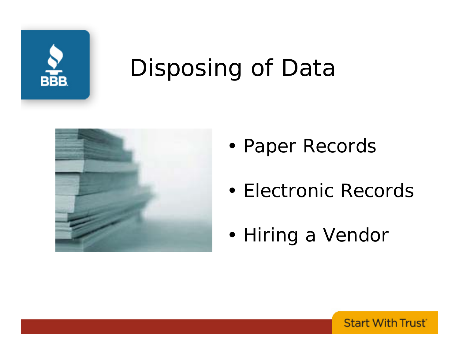

## Disposing of Data



- •Paper Records
- •Electronic Records
- •Hiring a Vendor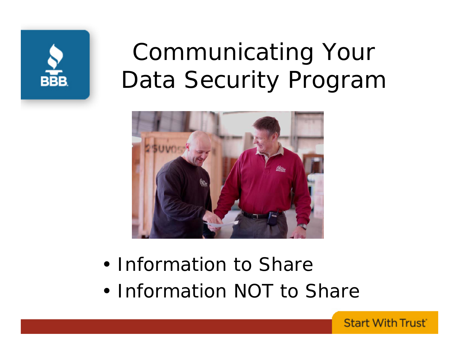

## Communicating Your Data Security Program



- •Information to Share
- •Information NOT to Share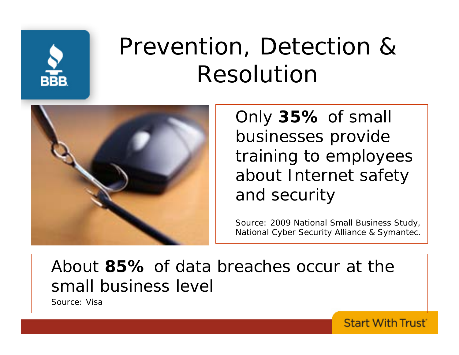

# Prevention, Detection & Resolution



Only **35%** of small businesses provide training to employees about Internet safety and security

*Source: 2009 National Small Business Study, National Cyber Security Alliance & Symantec.*

**Start With Trust** 

### About **85%** of data breaches occur at the small business level

*Source: Visa*